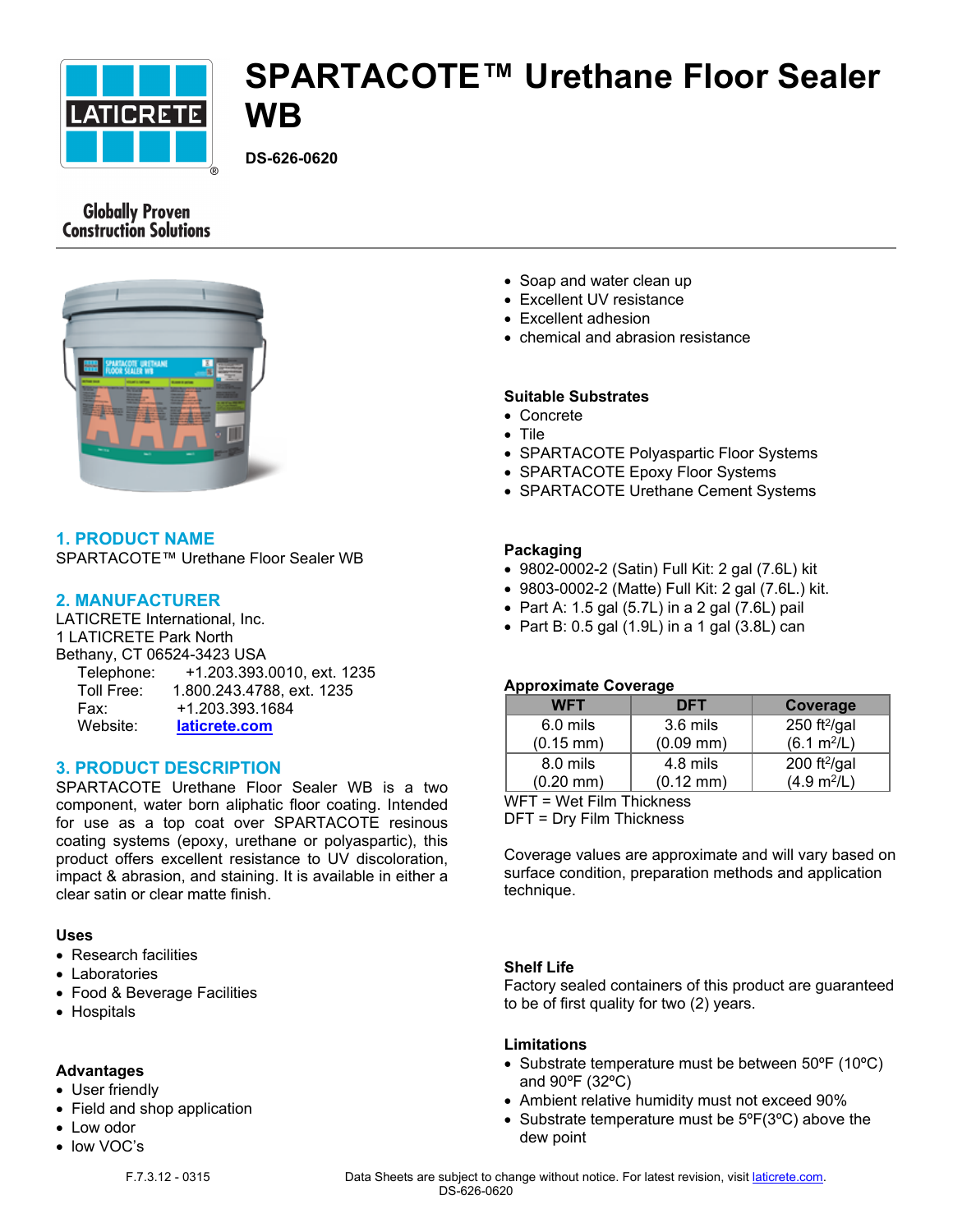

# **SPARTACOTE™ Urethane Floor Sealer WB**

**DS-626-0620**

# **Globally Proven Construction Solutions**



# **1. PRODUCT NAME**

SPARTACOTE™ Urethane Floor Sealer WB

#### **2. MANUFACTURER**

LATICRETE International, Inc. 1 LATICRETE Park North Bethany, CT 06524-3423 USA Telephone: +1.203.393.0010, ext. 1235 Toll Free: 1.800.243.4788, ext. 1235 Fax: +1.203.393.1684 Website: **[laticrete.com](https://laticrete.com/)**

#### **3. PRODUCT DESCRIPTION**

SPARTACOTE Urethane Floor Sealer WB is a two component, water born aliphatic floor coating. Intended for use as a top coat over SPARTACOTE resinous coating systems (epoxy, urethane or polyaspartic), this product offers excellent resistance to UV discoloration, impact & abrasion, and staining. It is available in either a clear satin or clear matte finish.

#### **Uses**

- Research facilities
- Laboratories
- Food & Beverage Facilities
- Hospitals

#### **Advantages**

- User friendly
- Field and shop application
- Low odor
- low VOC's
	-
- Soap and water clean up
- Excellent UV resistance
- Excellent adhesion
- chemical and abrasion resistance

#### **Suitable Substrates**

- Concrete
- Tile
- SPARTACOTE Polyaspartic Floor Systems
- SPARTACOTE Epoxy Floor Systems
- SPARTACOTE Urethane Cement Systems

#### **Packaging**

- 9802-0002-2 (Satin) Full Kit: 2 gal (7.6L) kit
- 9803-0002-2 (Matte) Full Kit: 2 gal (7.6L.) kit.
- $\bullet$  Part A: 1.5 gal (5.7L) in a 2 gal (7.6L) pail
- $\bullet$  Part B: 0.5 gal (1.9L) in a 1 gal (3.8L) can

#### **Approximate Coverage**

| <b>WFT</b>            | <b>DFT</b>          | Coverage                |
|-----------------------|---------------------|-------------------------|
| 6.0 mils              | 3.6 mils            | 250 ft $^{2}/$ gal      |
| $(0.15 \, \text{mm})$ | $(0.09$ mm $)$      | (6.1 m <sup>2</sup> /L) |
| 8.0 mils              | 4.8 mils            | 200 ft $^{2}$ /gal      |
| $(0.20 \text{ mm})$   | $(0.12 \text{ mm})$ | (4.9 m <sup>2</sup> /L) |

WFT = Wet Film Thickness

DFT = Dry Film Thickness

Coverage values are approximate and will vary based on surface condition, preparation methods and application technique.

#### **Shelf Life**

Factory sealed containers of this product are guaranteed to be of first quality for two (2) years.

#### **Limitations**

- Substrate temperature must be between 50°F (10°C) and 90ºF (32ºC)
- Ambient relative humidity must not exceed 90%
- Substrate temperature must be  $5^{\circ}F(3^{\circ}C)$  above the dew point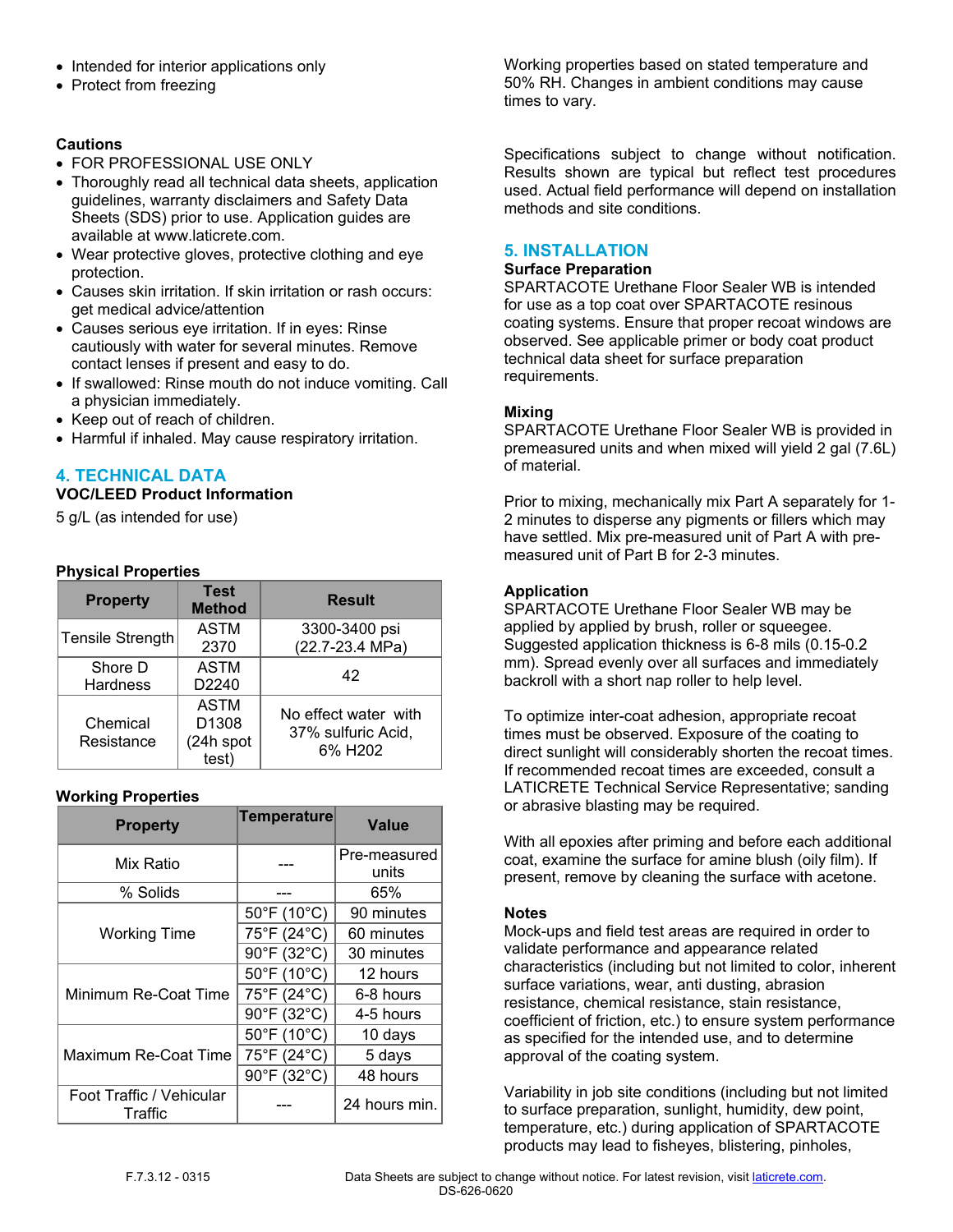- Intended for interior applications only
- Protect from freezing

# **Cautions**

- FOR PROFESSIONAL USE ONLY
- Thoroughly read all technical data sheets, application guidelines, warranty disclaimers and Safety Data Sheets (SDS) prior to use. Application guides are available at www.laticrete.com.
- Wear protective gloves, protective clothing and eye protection.
- Causes skin irritation. If skin irritation or rash occurs: get medical advice/attention
- Causes serious eye irritation. If in eyes: Rinse cautiously with water for several minutes. Remove contact lenses if present and easy to do.
- If swallowed: Rinse mouth do not induce vomiting. Call a physician immediately.
- Keep out of reach of children.
- Harmful if inhaled. May cause respiratory irritation.

# **4. TECHNICAL DATA**

# **VOC/LEED Product Information**

5 g/L (as intended for use)

# **Physical Properties**

| <b>Property</b>        | <b>Test</b><br><b>Method</b>                           | <b>Result</b>                                         |
|------------------------|--------------------------------------------------------|-------------------------------------------------------|
| Tensile Strength       | <b>ASTM</b><br>2370                                    | 3300-3400 psi<br>(22.7-23.4 MPa)                      |
| Shore D<br>Hardness    | <b>ASTM</b><br>D <sub>2240</sub>                       | 42                                                    |
| Chemical<br>Resistance | <b>ASTM</b><br>D <sub>1308</sub><br>(24h spot<br>test) | No effect water with<br>37% sulfuric Acid,<br>6% H202 |

# **Working Properties**

| <b>Property</b>                     | <b>Temperature</b>               | Value                 |
|-------------------------------------|----------------------------------|-----------------------|
| Mix Ratio                           |                                  | Pre-measured<br>units |
| % Solids                            |                                  | 65%                   |
|                                     | 50°F (10°C)                      | 90 minutes            |
| <b>Working Time</b>                 | 75°F (24°C)                      | 60 minutes            |
|                                     | 90°F (32°C)                      | 30 minutes            |
|                                     | 50°F (10°C)                      | 12 hours              |
| Minimum Re-Coat Time                | 75°F (24°C)                      | 6-8 hours             |
|                                     | 90°F (32°C)                      | 4-5 hours             |
|                                     | 50°F (10°C)                      | 10 days               |
| Maximum Re-Coat Time                | 75°F (24°C)                      | 5 days                |
|                                     | $90^{\circ}$ F (32 $^{\circ}$ C) | 48 hours              |
| Foot Traffic / Vehicular<br>Traffic |                                  | 24 hours min.         |

Working properties based on stated temperature and 50% RH. Changes in ambient conditions may cause times to vary.

Specifications subject to change without notification. Results shown are typical but reflect test procedures used. Actual field performance will depend on installation methods and site conditions.

#### **5. INSTALLATION**

#### **Surface Preparation**

SPARTACOTE Urethane Floor Sealer WB is intended for use as a top coat over SPARTACOTE resinous coating systems. Ensure that proper recoat windows are observed. See applicable primer or body coat product technical data sheet for surface preparation requirements.

### **Mixing**

SPARTACOTE Urethane Floor Sealer WB is provided in premeasured units and when mixed will yield 2 gal (7.6L) of material.

Prior to mixing, mechanically mix Part A separately for 1- 2 minutes to disperse any pigments or fillers which may have settled. Mix pre-measured unit of Part A with premeasured unit of Part B for 2-3 minutes.

#### **Application**

SPARTACOTE Urethane Floor Sealer WB may be applied by applied by brush, roller or squeegee. Suggested application thickness is 6-8 mils (0.15-0.2 mm). Spread evenly over all surfaces and immediately backroll with a short nap roller to help level.

To optimize inter-coat adhesion, appropriate recoat times must be observed. Exposure of the coating to direct sunlight will considerably shorten the recoat times. If recommended recoat times are exceeded, consult a LATICRETE Technical Service Representative; sanding or abrasive blasting may be required.

With all epoxies after priming and before each additional coat, examine the surface for amine blush (oily film). If present, remove by cleaning the surface with acetone.

#### **Notes**

Mock-ups and field test areas are required in order to validate performance and appearance related characteristics (including but not limited to color, inherent surface variations, wear, anti dusting, abrasion resistance, chemical resistance, stain resistance, coefficient of friction, etc.) to ensure system performance as specified for the intended use, and to determine approval of the coating system.

Variability in job site conditions (including but not limited to surface preparation, sunlight, humidity, dew point, temperature, etc.) during application of SPARTACOTE products may lead to fisheyes, blistering, pinholes,